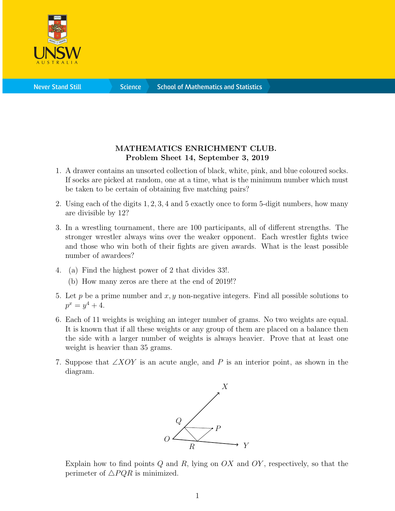

**Science** 

## MATHEMATICS ENRICHMENT CLUB. Problem Sheet 14, September 3, 2019

- 1. A drawer contains an unsorted collection of black, white, pink, and blue coloured socks. If socks are picked at random, one at a time, what is the minimum number which must be taken to be certain of obtaining five matching pairs?
- 2. Using each of the digits 1, 2, 3, 4 and 5 exactly once to form 5-digit numbers, how many are divisible by 12?
- 3. In a wrestling tournament, there are 100 participants, all of different strengths. The stronger wrestler always wins over the weaker opponent. Each wrestler fights twice and those who win both of their fights are given awards. What is the least possible number of awardees?
- 4. (a) Find the highest power of 2 that divides 33!.
	- (b) How many zeros are there at the end of 2019!?
- 5. Let p be a prime number and  $x, y$  non-negative integers. Find all possible solutions to  $p^x = y^4 + 4.$
- 6. Each of 11 weights is weighing an integer number of grams. No two weights are equal. It is known that if all these weights or any group of them are placed on a balance then the side with a larger number of weights is always heavier. Prove that at least one weight is heavier than 35 grams.
- 7. Suppose that  $\angle XOY$  is an acute angle, and P is an interior point, as shown in the diagram.



Explain how to find points  $Q$  and  $R$ , lying on  $OX$  and  $OY$ , respectively, so that the perimeter of  $\triangle PQR$  is minimized.